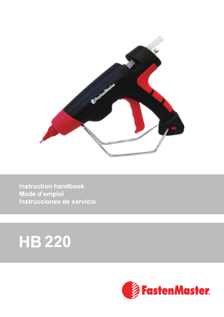

**Instruction handbook** Mode d'emploi Instrucciones de servicio

# **HB 220**

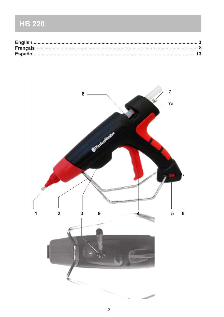# **HB 220**

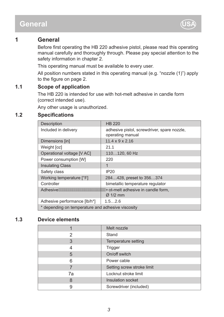### **General**



### **1 General**

Before first operating the HB 220 adhesive pistol, please read this operating manual carefully and thoroughly through. Please pay special attention to the safety information in chapter 2.

This operating manual must be available to every user.

All position numbers stated in this operating manual (e.g. "nozzle (1)") apply to the figure on page 2.

### **1.1 Scope of application**

The HB 220 is intended for use with hot-melt adhesive in candle form (correct intended use).

Any other usage is unauthorized.

### **1.2 Specifications**

| Description                                                        | <b>HB 220</b>                                                   |
|--------------------------------------------------------------------|-----------------------------------------------------------------|
| Included in delivery                                               | adhesive pistol, screwdriver, spare nozzle,<br>operating manual |
| Dimensions [in]                                                    | $11.4 \times 9 \times 2.16$                                     |
| Weight [oz]                                                        | 21.1                                                            |
| Operational voltage [V AC]                                         | 110120, 60 Hz                                                   |
| Power consumption [W]                                              | 220                                                             |
| <b>Insulating Class</b>                                            | 1                                                               |
| Safety class                                                       | <b>IP20</b>                                                     |
| Working temperature [°F]                                           | 284428, preset to 356374                                        |
| Controller                                                         | bimetallic temperature regulator                                |
| <b>WWWWWF</b> ot-melt adhesive in candle form,<br>Adhesive AWWWWWW |                                                                 |
|                                                                    | $\varnothing$ 1/2 mm                                            |
| Adhesive performance [lb/h*]                                       | 1.52.6                                                          |
| * depending on temperature and adhesive viscosity                  |                                                                 |

### **1.3 Device elements**

|    | Melt nozzle                |
|----|----------------------------|
| 2  | Stand                      |
| 3  | Temperature setting        |
|    | Trigger                    |
| 5  | On/off switch              |
| 6  | Power cable                |
|    | Setting screw stroke limit |
| 7a | Locknut stroke limit       |
| 8  | Insulation socket          |
|    | Screwdriver (included)     |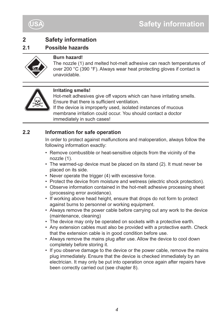



### **2.1 Possible hazards**



#### **Burn hazard!**

The nozzle (1) and melted hot-melt adhesive can reach temperatures of over 200 °C (390 °F). Always wear heat protecting gloves if contact is unavoidable.



### **Irritating smells!**

Hot-melt adhesives give off vapors which can have irritating smells. Ensure that there is sufficient ventilation.

If the device is improperly used, isolated instances of mucous membrane irritation could occur. You should contact a doctor immediately in such cases!

### **2.2 Information for safe operation**

In order to protect against malfunctions and maloperation, always follow the following information exactly:

- Remove combustible or heat-sensitive objects from the vicinity of the nozzle (1).
- The warmed-up device must be placed on its stand (2). It must never be placed on its side.
- Never operate the trigger (4) with excessive force.
- Protect the device from moisture and wetness (electric shock protection).
- Observe information contained in the hot-melt adhesive processing sheet (processing error avoidance).
- If working above head height, ensure that drops do not form to protect against burns to personnel or working equipment.
- Always remove the power cable before carrying out any work to the device (maintenance, cleaning)
- The device may only be operated on sockets with a protective earth.
- Any extension cables must also be provided with a protective earth. Check that the extension cable is in good condition before use.
- Always remove the mains plug after use. Allow the device to cool down completely before storing it.
- If you observe damage to the device or the power cable, remove the mains plug immediately. Ensure that the device is checked immediately by an electrician. It may only be put into operation once again after repairs have been correctly carried out (see chapter 8).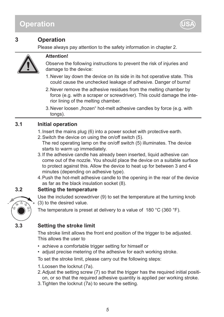## **Operation**



### **3 Operation**

Please always pay attention to the safety information in chapter 2.



### **Attention!**

Observe the following instructions to prevent the risk of injuries and damage to the device:

- Never lay down the device on its side in its hot operative state. This 1. could cause the unchecked leakage of adhesive. Danger of burns!
- 2. Never remove the adhesive residues from the melting chamber by force (e.g. with a scraper or screwdriver). This could damage the interior lining of the melting chamber.
- 3. Never loosen "frozen" hot-melt adhesive candles by force (e.g. with tongs).

### **3.1 Initial operation**

- 1.Insert the mains plug (6) into a power socket with protective earth.
- 2.Switch the device on using the on/off switch (5).

The red operating lamp on the on/off switch (5) illuminates. The device starts to warm up immediately.

- 3.If the adhesive candle has already been inserted, liquid adhesive can come out of the nozzle. You should place the device on a suitable surface to protect against this. Allow the device to heat up for between 3 and 4 minutes (depending on adhesive type).
- 4.Push the hot-melt adhesive candle to the opening in the rear of the device as far as the black insulation socket (8).

### **3.2 Setting the temperature**



Use the included screwdriver (9) to set the temperature at the turning knob (3) to the desired value.

The temperature is preset at delivery to a value of 180 °C (360 °F).

### **3.3 Setting the stroke limit**

The stroke limit allows the front end position of the trigger to be adjusted. This allows the user to

- achieve a comfortable trigger setting for himself or
- adjust precise metering of the adhesive for each working stroke.

To set the stroke limit, please carry out the following steps:

- 1.Loosen the locknut (7a).
- 2.Adjust the setting screw (7) so that the trigger has the required initial position, or so that the required adhesive quantity is applied per working stroke.
- 3.Tighten the locknut (7a) to secure the setting.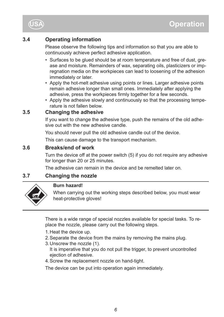

### **3.4 Operating information**

Please observe the following tips and information so that you are able to continuously achieve perfect adhesive application.

- Surfaces to be glued should be at room temperature and free of dust, grease and moisture. Remainders of wax, separating oils, plasticizers or impregnation media on the workpieces can lead to loosening of the adhesion immediately or later.
- Apply the hot-melt adhesive using points or lines. Larger adhesive points remain adhesive longer than small ones. Immediately after applying the adhesive, press the workpieces firmly together for a few seconds.
- Apply the adhesive slowly and continuously so that the processing temperature is not fallen below.

### **3.5 Changing the adhesive**

If you want to change the adhesive type, push the remains of the old adhesive out with the new adhesive candle.

You should never pull the old adhesive candle out of the device.

This can cause damage to the transport mechanism.

### **3.6 Breaks/end of work**

Turn the device off at the power switch (5) if you do not require any adhesive for longer than 20 or 25 minutes.

The adhesive can remain in the device and be remelted later on.

### **3.7 Changing the nozzle**



### **Burn hazard!**

When carrying out the working steps described below, you must wear heat-protective gloves!

There is a wide range of special nozzles available for special tasks. To replace the nozzle, please carry out the following steps.

- 1.Heat the device up.
- 2.Separate the device from the mains by removing the mains plug.
- 3.Unscrew the nozzle (1).
- It is imperative that you do not pull the trigger, to prevent uncontrolled ejection of adhesive.
- 4.Screw the replacement nozzle on hand-tight.

The device can be put into operation again immediately.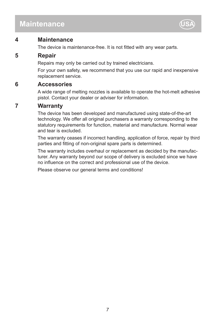### **Maintenance**



### **4 Maintenance**

The device is maintenance-free. It is not fitted with any wear parts.

### **5 Repair**

Repairs may only be carried out by trained electricians.

For your own safety, we recommend that you use our rapid and inexpensive replacement service.

### **6 Accessories**

A wide range of melting nozzles is available to operate the hot-melt adhesive pistol. Contact your dealer or adviser for information.

### **7 Warranty**

The device has been developed and manufactured using state-of-the-art technology. We offer all original purchasers a warranty corresponding to the statutory requirements for function, material and manufacture. Normal wear and tear is excluded.

The warranty ceases if incorrect handling, application of force, repair by third parties and fitting of non-original spare parts is determined.

The warranty includes overhaul or replacement as decided by the manufacturer. Any warranty beyond our scope of delivery is excluded since we have no influence on the correct and professional use of the device.

Please observe our general terms and conditions!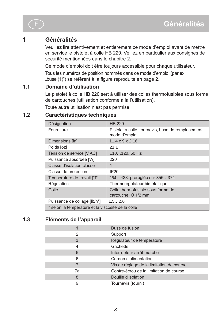### **1 Généralités**

Veuillez lire attentivement et entièrement ce mode d'emploi avant de mettre en service le pistolet à colle HB 220. Veillez en particulier aux consignes de sécurité mentionnées dans le chapitre 2.

Ce mode d'emploi doit être toujours accessible pour chaque utilisateur.

Tous les numéros de position nommés dans ce mode d'emploi (par ex. "buse (1)") se réfèrent à la figure reproduite en page 2.

### **1.1 Domaine d'utilisation**

Le pistolet à colle HB 220 sert à utiliser des colles thermofusibles sous forme de cartouches (utilisation conforme à la l'utilisation).

Toute autre utilisation n'est pas permise.

### **1.2 Caractéristiques techniques**

| Désignation                                        | <b>HB 220</b>                                                       |  |
|----------------------------------------------------|---------------------------------------------------------------------|--|
| Fourniture                                         | Pistolet à colle, tournevis, buse de remplacement,<br>mode d'emploi |  |
| Dimensions [in]                                    | $11.4 \times 9 \times 2.16$                                         |  |
| Poids [oz]                                         | 21.1                                                                |  |
| Tension de service [V AC]                          | 110120, 60 Hz                                                       |  |
| Puissance absorbée [W]                             | 220                                                                 |  |
| Classe d'isolation classe                          | 1                                                                   |  |
| Classe de protection                               | <b>IP20</b>                                                         |  |
| Température de travail [°F]                        | 284428, préréglée sur 356374                                        |  |
| Régulation                                         | Thermorégulateur bimétallique                                       |  |
| Colle                                              | Colle thermofusible sous forme de<br>cartouche, Ø 1/2 mm            |  |
| Puissance de collage [lb/h*]                       | 1.52.6                                                              |  |
| * selon la température et la viscosité de la colle |                                                                     |  |

### **1.3 Eléments de l'appareil**

|    | Buse de fusion                            |
|----|-------------------------------------------|
| 2  | Support                                   |
| 3  | Régulateur de température                 |
| 4  | Gâchette                                  |
| 5  | Interrupteur arrêt-marche                 |
| 6  | Cordon d'alimentation                     |
|    | Vis de réglage de la limitation de course |
| 7a | Contre-écrou de la limitation de course   |
| 8  | Douille d'isolation                       |
| 9  | Tournevis (fourni)                        |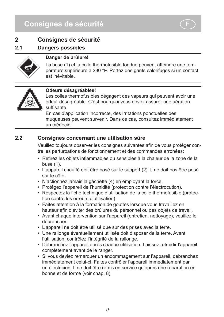## **Consignes de sécurité F**



### **2 Consignes de sécurité**

### **2.1 Dangers possibles**



### **Danger de brûlure!**

La buse (1) et la colle thermofusible fondue peuvent atteindre une température supérieure à 390 °F. Portez des gants calorifuges si un contact est inévitable.



#### **Odeurs désagréables!**

Les colles thermofusibles dégagent des vapeurs qui peuvent avoir une odeur désagréable. C'est pourquoi vous devez assurer une aération suffisante.

En cas d'application incorrecte, des irritations ponctuelles des muqueuses peuvent survenir. Dans ce cas, consultez immédiatement un médecin!

### **2.2 Consignes concernant une utilisation sûre**

Veuillez toujours observer les consignes suivantes afin de vous protéger contre les perturbations de fonctionnement et des commandes erronées:

- • Retirez les objets inflammables ou sensibles à la chaleur de la zone de la buse (1).
- L'appareil chauffé doit être posé sur le support (2). Il ne doit pas être posé sur le côté.
- N'actionnez jamais la gâchette (4) en employant la force.
- Protégez l'appareil de l'humidité (protection contre l'électrocution).
- Respectez la fiche technique d'utilisation de la colle thermofusible (protection contre les erreurs d'utilisation).
- Faites attention à la formation de gouttes lorsque vous travaillez en hauteur afin d'éviter des brûlures du personnel ou des objets de travail.
- Avant chaque intervention sur l'appareil (entretien, nettoyage), veuillez le débrancher.
- L'appareil ne doit être utilisé que sur des prises avec la terre.
- Une rallonge éventuellement utilisée doit disposer de la terre. Avant l'utilisation, contrôlez l'intégrité de la rallonge.
- Débranchez l'appareil après chaque utilisation. Laissez refroidir l'appareil complètement avant de le ranger.
- Si vous deviez remarquer un endommagement sur l'appareil, débranchez immédiatement celui-ci. Faites contrôler l'appareil immédiatement par un électricien. Il ne doit être remis en service qu'après une réparation en bonne et de forme (voir chap. 8).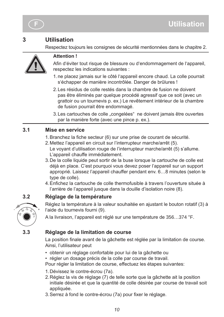

### **3 Utilisation**

Respectez toujours les consignes de sécurité mentionnées dans le chapitre 2.



### **Attention !**

Afin d'éviter tout risque de blessure ou d'endommagement de l'appareil, respectez les indications suivantes :

- 1. ne placez jamais sur le côté l'appareil encore chaud. La colle pourrait s'échapper de manière incontrôlée. Danger de brûlures !
- Les résidus de colle restés dans la chambre de fusion ne doivent 2. pas être éliminés par quelque procédé agressif que ce soit (avec un grattoir ou un tournevis p. ex.) Le revêtement intérieur de la chambre de fusion pourrait être endommagé.
- 3. Les cartouches de colle "congelées" ne doivent jamais être ouvertes par la manière forte (avec une pince p. ex.).

### **3.1 Mise en service**

- 1. Branchez la fiche secteur (6) sur une prise de courant de sécurité.
- 2.Mettez l'appareil en circuit sur l'interrupteur marche/arrêt (5). Le voyant d'utilisation rouge de l'interrupteur marche/arrêt (5) s'allume. L'appareil chauffe immédiatement.
- 3.De la colle liquide peut sortir de la buse lorsque la cartouche de colle est déjà en place. C'est pourquoi vous devez poser l'appareil sur un support approprié. Laissez l'appareil chauffer pendant env. 6…8 minutes (selon le type de colle).
- 4. Enfichez la cartouche de colle thermofusible à travers l'ouverture située à l'arrière de l'appareil jusque dans la douille d'isolation noire (8).

### **3.2 Réglage de la température**



Réglez la température à la valeur souhaitée en ajustant le bouton rotatif (3) à l'aide du tournevis fourni (9).

A la livraison, l'appareil est réglé sur une température de 356…374 °F.

### **3.3 Réglage de la limitation de course**

La position finale avant de la gâchette est réglée par la limitation de course. Ainsi, l'utilisateur peut

- obtenir un réglage confortable pour lui de la gâchette ou
- régler un dosage précis de la colle par course de travail.

Pour régler la limitation de course, effectuez les étapes suivantes:

- 1.Dévissez le contre-écrou (7a).
- 2.Réglez la vis de réglage (7) de telle sorte que la gâchette ait la position initiale désirée et que la quantité de colle désirée par course de travail soit appliquée.
- 3. Serrez à fond le contre-écrou (7a) pour fixer le réglage.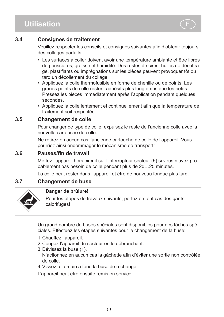### **Utilisation**



### **3.4 Consignes de traitement**

Veuillez respecter les conseils et consignes suivantes afin d'obtenir toujours des collages parfaits:

- Les surfaces à coller doivent avoir une température ambiante et être libres de poussières, graisse et humidité. Des restes de cires, huiles de décoffrage, plastifiants ou imprégnations sur les pièces peuvent provoquer tôt ou tard un décollement du collage.
- Appliquez la colle thermofusible en forme de chenille ou de points. Les grands points de colle restent adhésifs plus longtemps que les petits. Pressez les pièces immédiatement après l'application pendant quelques secondes.
- • Appliquez la colle lentement et continuellement afin que la température de traitement soit respectée.

### **3.5 Changement de colle**

Pour changer de type de colle, expulsez le reste de l'ancienne colle avec la nouvelle cartouche de colle.

Ne retirez en aucun cas l'ancienne cartouche de colle de l'appareil. Vous pourriez ainsi endommager le mécanisme de transport!

### **3.6 Pauses/fin de travail**

Mettez l'appareil hors circuit sur l'interrupteur secteur (5) si vous n'avez probablement pas besoin de colle pendant plus de 20…25 minutes.

La colle peut rester dans l'appareil et être de nouveau fondue plus tard.

### **3.7 Changement de buse**



### **Danger de brûlure!**

Pour les étapes de travaux suivants, portez en tout cas des gants calorifuges!

Un grand nombre de buses spéciales sont disponibles pour des tâches spéciales. Effectuez les étapes suivantes pour le changement de la buse:

- 1.Chauffez l'appareil.
- 2.Coupez l'appareil du secteur en le débranchant.
- 3.Dévissez la buse (1). N'actionnez en aucun cas la gâchette afin d'éviter une sortie non contrôlée de colle.
- 4.Vissez à la main à fond la buse de rechange.

L'appareil peut être ensuite remis en service.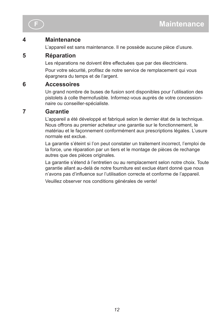

### **4 Maintenance**

L'appareil est sans maintenance. Il ne possède aucune pièce d'usure.

### **5 Réparation**

Les réparations ne doivent être effectuées que par des électriciens.

Pour votre sécurité, profitez de notre service de remplacement qui vous épargnera du temps et de l'argent.

### **6 Accessoires**

Un grand nombre de buses de fusion sont disponibles pour l'utilisation des pistolets à colle thermofusible. Informez-vous auprès de votre concessionnaire ou conseiller-spécialiste.

### **7 Garantie**

L'appareil a été développé et fabriqué selon le dernier état de la technique. Nous offrons au premier acheteur une garantie sur le fonctionnement, le matériau et le façonnement conformément aux prescriptions légales. L'usure normale est exclue.

La garantie s'éteint si l'on peut constater un traitement incorrect, l'emploi de la force, une réparation par un tiers et le montage de pièces de rechange autres que des pièces originales.

La garantie s'étend à l'entretien ou au remplacement selon notre choix. Toute garantie allant au-delà de notre fourniture est exclue étant donné que nous n'avons pas d'influence sur l'utilisation correcte et conforme de l'appareil.

Veuillez observer nos conditions générales de vente!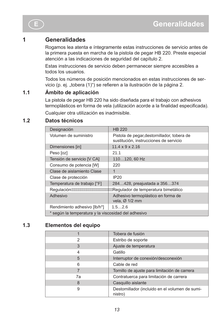### **1 Generalidades**

Rogamos lea atenta e íntegramente estas instrucciones de servicio antes de la primera puesta en marcha de la pistola de pegar HB 220. Preste especial atención a las indicaciones de seguridad del capítulo 2.

Estas instrucciones de servicio deben permanecer siempre accesibles a todos los usuarios.

Todos los números de posición mencionados en estas instrucciones de servicio (p. ej. "tobera (1)") se refieren a la ilustración de la página 2.

### **1.1 Ámbito de aplicación**

La pistola de pegar HB 220 ha sido diseñada para el trabajo con adhesivos termoplásticos en forma de vela (utilización acorde a la finalidad especificada). Cualquier otra utilización es inadmisible.

**1.2 Datos técnicos**

| Designación                                                               | <b>HB 220</b>                                                                         |  |
|---------------------------------------------------------------------------|---------------------------------------------------------------------------------------|--|
| Volumen de suministro                                                     | Pistola de pegar, destornillador, tobera de<br>sustitución, instrucciones de servicio |  |
| Dimensiones [in]                                                          | $11.4 \times 9 \times 2.16$                                                           |  |
| Peso [oz]                                                                 | 21.1                                                                                  |  |
| Tensión de servicio [V CA]                                                | 110120, 60 Hz                                                                         |  |
| Consumo de potencia [W]                                                   | 220                                                                                   |  |
| Clase de aislamiento Clase                                                | 1                                                                                     |  |
| Clase de protección                                                       | IP20                                                                                  |  |
| Temperatura de trabajo [°F]                                               | 284428, preajustada a 356374                                                          |  |
| Regulación <del>/WWWWWWWWWWWWWW</del> Regulador de temperatura bimetálico |                                                                                       |  |
| Adhesivo                                                                  | Adhesivo termoplástico en forma de<br>vela, $Ø$ 1/2 mm                                |  |
| Rendimiento adhesivo [lb/h*]                                              | 1.52.6                                                                                |  |
| * según la temperatura y la viscosidad del adhesivo                       |                                                                                       |  |

### **1.3 Elementos del equipo**

|    | Tobera de fusión                                           |
|----|------------------------------------------------------------|
| 2  | Estribo de soporte                                         |
| 3  | Ajuste de temperatura                                      |
|    | Gatillo                                                    |
| 5  | Interruptor de conexión/desconexión                        |
| 6  | Cable de red                                               |
|    | Tornillo de ajuste para limitación de carrera              |
| 7a | Contratuerca para limitación de carrera                    |
| 8  | Casquillo aislante                                         |
| 9  | Destornillador (incluido en el volumen de sumi-<br>nistro) |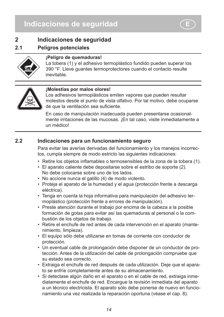### **2 Indicaciones de seguridad**

### **2.1 Peligros potenciales**



### **¡Peligro de quemaduras!**

La tobera (1) y el adhesivo termoplástico fundido pueden superar los 390 °F. Lleve guantes termoprotectores cuando el contacto resulte inevitable.



#### **¡Molestias por malos olores!**

Los adhesivos termoplásticos emiten vapores que pueden resultar molestos desde el punto de vista olfativo. Por tal motivo, debe ocuparse de que la ventilación sea suficiente.

En caso de manipulación inadecuada pueden presentarse ocasionalmente irritaciones de las mucosas. ¡En tal caso, visite inmediatamente a un médico!

### **2.2 Indicaciones para un funcionamiento seguro**

Para evitar las averías derivadas del funcionamiento y los manejos incorrectos, cumpla siempre de modo estricto las siguientes indicaciones:

- • Retire los objetos inflamables o termosensibles de la zona de la tobera (1).
- El aparato caliente debe depositarse sobre el estribo de soporte (2). No debe colocarse sobre uno de los lados.
- No accione nunca el gatillo (4) de modo violento.
- Proteja el aparato de la humedad y el agua (protección frente a descarga eléctrica).
- Tenga en cuenta la hoja informativa para manipulación del adhesivo termoplástico (protección frente a errores de manipulación).
- Preste atención durante el trabajo por encima de la cabeza a la posible formación de gotas para evitar así las quemaduras al personal o la combustión de los objetos de trabajo.
- Retire el enchufe de red antes de cada intervención en el aparato (mantenimiento, limpieza).
- El equipo sólo debe utilizarse en tomas de corriente con conductor de protección.
- Un eventual cable de prolongación debe disponer de un conductor de protección. Antes de la utilización del cable de prolongación compruebe que su estado sea correcto.
- Extraiga el enchufe de red después de cada utilización. Deje que el aparato se enfríe completamente antes de su almacenamiento.
- Si detectase algún daño en el aparato o en el cable de red, extraiga inmediatamente el enchufe de red. Encargue la revisión inmediata del aparato a un técnico electricista. El aparato sólo debe ponerse de nuevo en funcionamiento una vez realizada la reparación oportuna (véase el cap. 8).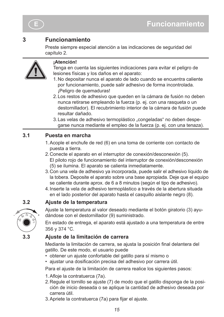

### **3 Funcionamiento**

Preste siempre especial atención a las indicaciones de seguridad del capítulo 2.



### **¡Atención!**

Tenga en cuenta las siguientes indicaciones para evitar el peligro de lesiones físicas y los daños en el aparato:

- No depositar nunca el aparato de lado cuando se encuentra caliente 1. por funcionamiento, puede salir adhesivo de forma incontrolada. ¡Peligro de quemaduras!
- Los restos de adhesivo que queden en la cámara de fusión no deben 2. nunca retirarse empleando la fuerza (p. ej. con una rasqueta o un destornillador). El recubrimiento interior de la cámara de fusión puede resultar dañado.
- 3. Las velas de adhesivo termoplástico "congeladas" no deben despegarse nunca mediante el empleo de la fuerza (p. ej. con una tenaza).

### **3.1 Puesta en marcha**

- 1.Acople el enchufe de red (6) en una toma de corriente con contacto de puesta a tierra.
- 2.Conecte el aparato en el interruptor de conexión/desconexión (5). El piloto rojo de funcionamiento del interruptor de conexión/desconexión (5) se ilumina. El aparato se calienta inmediatamente.
- 3.Con una vela de adhesivo ya incorporada, puede salir el adhesivo líquido de la tobera. Deposite el aparato sobre una base apropiada. Deje que el equipo se caliente durante aprox. de 6 a 8 minutos (según el tipo de adhesivo).
- 4. Inserte la vela de adhesivo termoplástico a través de la abertura situada en el lado posterior del aparato hasta el casquillo aislante negro (8).

### **3.2 Ajuste de la temperatura**



Ajuste la temperatura al valor deseado mediante el botón giratorio (3) ayudándose con el destornillador (9) suministrado.

En estado de entrega, el aparato está ajustado a una temperatura de entre 356 y 374 °C.

### **3.3 Ajuste de la limitación de carrera**

Mediante la limitación de carrera, se ajusta la posición final delantera del gatillo. De este modo, el usuario puede

- obtener un ajuste confortable del gatillo para sí mismo o
- • ajustar una dosificación precisa del adhesivo por carrera útil.

Para el ajuste de la limitación de carrera realice los siguientes pasos:

- 1. Afloje la contratuerca (7a).
- 2.Regule el tornillo se ajuste (7) de modo que el gatillo disponga de la posición de inicio deseada o se aplique la cantidad de adhesivo deseada por carrera útil.
- 3. Apriete la contratuerca (7a) para fijar el ajuste.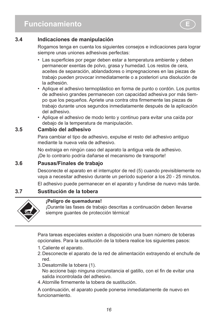### **3.4 Indicaciones de manipulación**

Rogamos tenga en cuenta los siguientes consejos e indicaciones para lograr siempre unas uniones adhesivas perfectas:

- Las superficies por pegar deben estar a temperatura ambiente y deben permanecer exentas de polvo, grasa y humedad. Los restos de cera, aceites de separación, ablandadores o impregnaciones en las piezas de trabajo pueden provocar inmediatamente o a posteriori una disolución de la adhesión.
- • Aplique el adhesivo termoplástico en forma de punto o cordón. Los puntos de adhesivo grandes permanecen con capacidad adhesiva por más tiempo que los pequeños. Apriete una contra otra firmemente las piezas de trabajo durante unos segundos inmediatamente después de la aplicación del adhesivo.
- Aplique el adhesivo de modo lento y continuo para evitar una caída por debajo de la temperatura de manipulación.

### **3.5 Cambio del adhesivo**

Para cambiar el tipo de adhesivo, expulse el resto del adhesivo antiguo mediante la nueva vela de adhesivo.

No extraiga en ningún caso del aparato la antigua vela de adhesivo. ¡De lo contrario podría dañarse el mecanismo de transporte!

### **3.6 Pausas/Finales de trabajo**

Desconecte el aparato en el interruptor de red (5) cuando previsiblemente no vaya a necesitar adhesivo durante un período superior a los 20 - 25 minutos.

El adhesivo puede permanecer en el aparato y fundirse de nuevo más tarde.

### **3.7 Sustitución de la tobera**



#### **¡Peligro de quemaduras!**

¡Durante las fases de trabajo descritas a continuación deben llevarse siempre guantes de protección térmica!

Para tareas especiales existen a disposición una buen número de toberas opcionales. Para la sustitución de la tobera realice los siguientes pasos:

- 1.Caliente el aparato.
- 2.Desconecte el aparato de la red de alimentación extrayendo el enchufe de red.
- 3.Desatornille la tobera (1). No accione bajo ninguna circunstancia el gatillo, con el fin de evitar una salida incontrolada del adhesivo.
- 4. Atornille firmemente la tobera de sustitución.

A continuación, el aparato puede ponerse inmediatamente de nuevo en funcionamiento.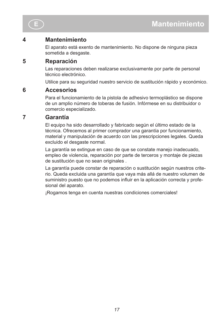

### **4 Mantenimiento**

El aparato está exento de mantenimiento. No dispone de ninguna pieza sometida a desgaste.

### **5 Reparación**

Las reparaciones deben realizarse exclusivamente por parte de personal técnico electrónico.

Utilice para su seguridad nuestro servicio de sustitución rápido y económico.

### **6 Accesorios**

Para el funcionamiento de la pistola de adhesivo termoplástico se dispone de un amplio número de toberas de fusión. Infórmese en su distribuidor o comercio especializado.

### **7 Garantía**

El equipo ha sido desarrollado y fabricado según el último estado de la técnica. Ofrecemos al primer comprador una garantía por funcionamiento, material y manipulación de acuerdo con las prescripciones legales. Queda excluido el desgaste normal.

La garantía se extingue en caso de que se constate manejo inadecuado, empleo de violencia, reparación por parte de terceros y montaje de piezas de sustitución que no sean originales .

La garantía puede constar de reparación o sustitución según nuestros criterio. Queda excluida una garantía que vaya más allá de nuestro volumen de suministro puesto que no podemos influir en la aplicación correcta y profesional del aparato.

¡Rogamos tenga en cuenta nuestras condiciones comerciales!